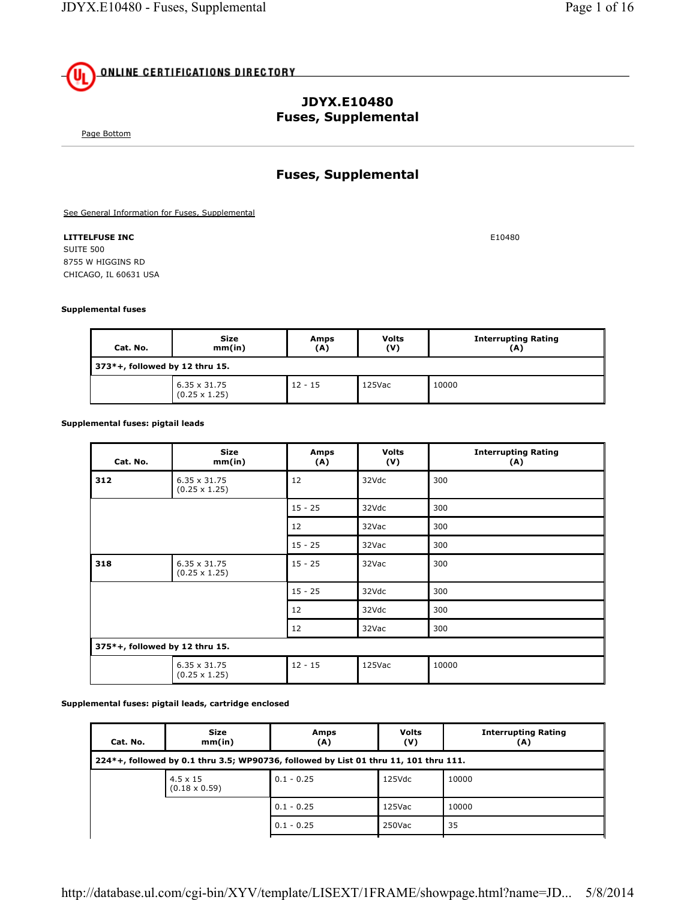# **ONLINE CERTIFICATIONS DIRECTORY**

## **JDYX.E10480 Fuses, Supplemental**

Page Bottom

## **Fuses, Supplemental**

See General Information for Fuses, Supplemental

#### **LITTELFUSE INC** E10480

SUITE 500 8755 W HIGGINS RD CHICAGO, IL 60631 USA

#### **Supplemental fuses**

| Cat. No.                          | Size<br>mm(in)                              | Amps<br>(A) | <b>Volts</b><br>(V) | <b>Interrupting Rating</b><br>(A) |  |
|-----------------------------------|---------------------------------------------|-------------|---------------------|-----------------------------------|--|
| $373*+$ , followed by 12 thru 15. |                                             |             |                     |                                   |  |
|                                   | $6.35 \times 31.75$<br>$(0.25 \times 1.25)$ | $12 - 15$   | 125Vac              | 10000                             |  |

#### **Supplemental fuses: pigtail leads**

| Cat. No.                       | <b>Size</b><br>mm(in)                       | Amps<br>(A) | <b>Volts</b><br>(V) | <b>Interrupting Rating</b><br>(A) |
|--------------------------------|---------------------------------------------|-------------|---------------------|-----------------------------------|
| 312                            | $6.35 \times 31.75$<br>$(0.25 \times 1.25)$ | 12          | 32Vdc               | 300                               |
|                                |                                             | $15 - 25$   | 32Vdc               | 300                               |
|                                |                                             | 12          | 32Vac               | 300                               |
|                                |                                             | $15 - 25$   | 32Vac               | 300                               |
| 318                            | $6.35 \times 31.75$<br>$(0.25 \times 1.25)$ | $15 - 25$   | 32Vac               | 300                               |
|                                |                                             | $15 - 25$   | 32Vdc               | 300                               |
|                                |                                             | 12          | 32Vdc               | 300                               |
|                                |                                             | 12          | 32Vac               | 300                               |
| 375*+, followed by 12 thru 15. |                                             |             |                     |                                   |
|                                | $6.35 \times 31.75$<br>$(0.25 \times 1.25)$ | $12 - 15$   | 125Vac              | 10000                             |

#### **Supplemental fuses: pigtail leads, cartridge enclosed**

| Cat. No. | <b>Size</b><br>mm(in)                   | Amps<br>(A)                                                                          | <b>Volts</b><br>(V) | <b>Interrupting Rating</b><br>(A) |
|----------|-----------------------------------------|--------------------------------------------------------------------------------------|---------------------|-----------------------------------|
|          |                                         | 224*+, followed by 0.1 thru 3.5; WP90736, followed by List 01 thru 11, 101 thru 111. |                     |                                   |
|          | $4.5 \times 15$<br>$(0.18 \times 0.59)$ | $0.1 - 0.25$                                                                         | 125Vdc              | 10000                             |
|          |                                         | $0.1 - 0.25$                                                                         | 125Vac              | 10000                             |
|          |                                         | $0.1 - 0.25$                                                                         | 250Vac              | 35                                |
|          |                                         |                                                                                      |                     |                                   |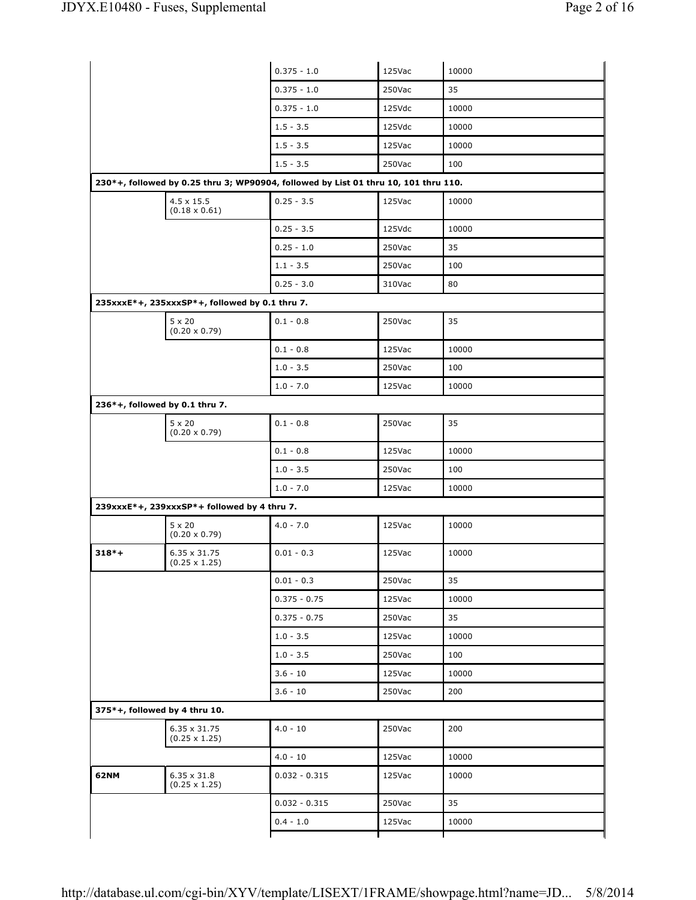|         |                                                | $0.375 - 1.0$                                                                       | 125Vac | 10000 |
|---------|------------------------------------------------|-------------------------------------------------------------------------------------|--------|-------|
|         |                                                | $0.375 - 1.0$                                                                       | 250Vac | 35    |
|         |                                                | $0.375 - 1.0$                                                                       | 125Vdc | 10000 |
|         |                                                | $1.5 - 3.5$                                                                         | 125Vdc | 10000 |
|         |                                                | $1.5 - 3.5$                                                                         | 125Vac | 10000 |
|         |                                                | $1.5 - 3.5$                                                                         | 250Vac | 100   |
|         |                                                | 230*+, followed by 0.25 thru 3; WP90904, followed by List 01 thru 10, 101 thru 110. |        |       |
|         | $4.5 \times 15.5$<br>$(0.18 \times 0.61)$      | $0.25 - 3.5$                                                                        | 125Vac | 10000 |
|         |                                                | $0.25 - 3.5$                                                                        | 125Vdc | 10000 |
|         |                                                | $0.25 - 1.0$                                                                        | 250Vac | 35    |
|         |                                                | $1.1 - 3.5$                                                                         | 250Vac | 100   |
|         |                                                | $0.25 - 3.0$                                                                        | 310Vac | 80    |
|         | 235xxxE*+, 235xxxSP*+, followed by 0.1 thru 7. |                                                                                     |        |       |
|         | $5 \times 20$<br>$(0.20 \times 0.79)$          | $0.1 - 0.8$                                                                         | 250Vac | 35    |
|         |                                                | $0.1 - 0.8$                                                                         | 125Vac | 10000 |
|         |                                                | $1.0 - 3.5$                                                                         | 250Vac | 100   |
|         |                                                | $1.0 - 7.0$                                                                         | 125Vac | 10000 |
|         | 236*+, followed by 0.1 thru 7.                 |                                                                                     |        |       |
|         | $5 \times 20$<br>$(0.20 \times 0.79)$          | $0.1 - 0.8$                                                                         | 250Vac | 35    |
|         |                                                | $0.1 - 0.8$                                                                         | 125Vac | 10000 |
|         |                                                | $1.0 - 3.5$                                                                         | 250Vac | 100   |
|         |                                                | $1.0 - 7.0$                                                                         | 125Vac | 10000 |
|         | 239xxxE*+, 239xxxSP*+ followed by 4 thru 7.    |                                                                                     |        |       |
|         | $5 \times 20$<br>$(0.20 \times 0.79)$          | $4.0 - 7.0$                                                                         | 125Vac | 10000 |
| $318*+$ | $6.35 \times 31.75$<br>$(0.25 \times 1.25)$    | $0.01 - 0.3$                                                                        | 125Vac | 10000 |
|         |                                                | $0.01 - 0.3$                                                                        | 250Vac | 35    |
|         |                                                | $0.375 - 0.75$                                                                      | 125Vac | 10000 |
|         |                                                | $0.375 - 0.75$                                                                      | 250Vac | 35    |
|         |                                                | $1.0 - 3.5$                                                                         | 125Vac | 10000 |
|         |                                                | $1.0 - 3.5$                                                                         | 250Vac | 100   |
|         |                                                |                                                                                     |        |       |
|         |                                                | $3.6 - 10$                                                                          | 125Vac | 10000 |
|         |                                                | $3.6 - 10$                                                                          | 250Vac | 200   |
|         | 375*+, followed by 4 thru 10.                  |                                                                                     |        |       |
|         | 6.35 x 31.75<br>$(0.25 \times 1.25)$           | $4.0 - 10$                                                                          | 250Vac | 200   |
|         |                                                | $4.0 - 10$                                                                          | 125Vac | 10000 |
| 62NM    | $6.35 \times 31.8$<br>$(0.25 \times 1.25)$     | $0.032 - 0.315$                                                                     | 125Vac | 10000 |
|         |                                                | $0.032 - 0.315$                                                                     | 250Vac | 35    |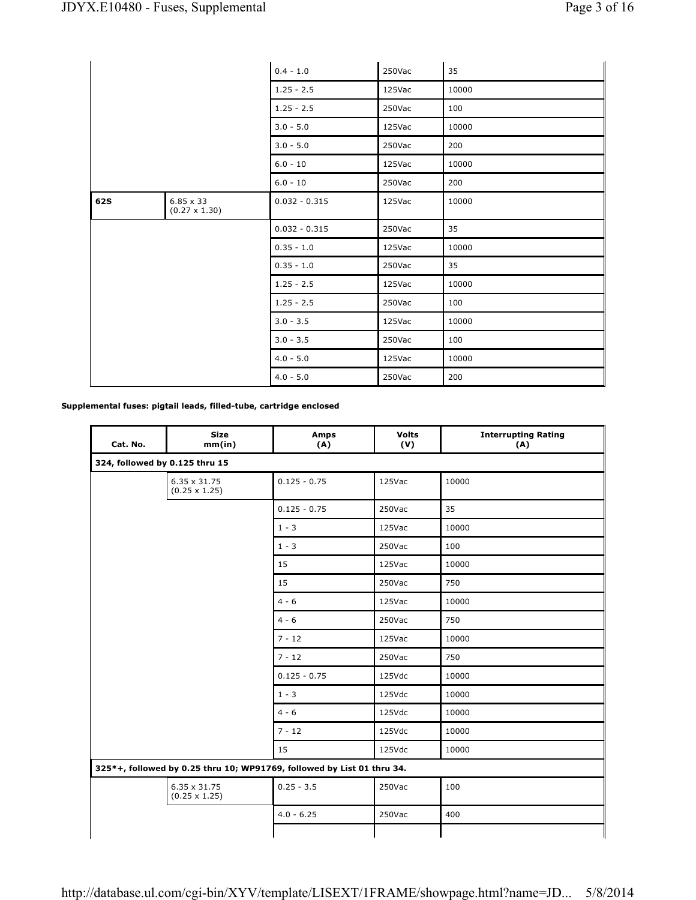|            |                                          | $0.4 - 1.0$     | 250Vac | 35    |
|------------|------------------------------------------|-----------------|--------|-------|
|            |                                          | $1.25 - 2.5$    | 125Vac | 10000 |
|            |                                          | $1.25 - 2.5$    | 250Vac | 100   |
|            |                                          | $3.0 - 5.0$     | 125Vac | 10000 |
|            |                                          | $3.0 - 5.0$     | 250Vac | 200   |
|            |                                          | $6.0 - 10$      | 125Vac | 10000 |
|            |                                          | $6.0 - 10$      | 250Vac | 200   |
| <b>62S</b> | $6.85 \times 33$<br>$(0.27 \times 1.30)$ | $0.032 - 0.315$ | 125Vac | 10000 |
|            |                                          | $0.032 - 0.315$ | 250Vac | 35    |
|            |                                          | $0.35 - 1.0$    | 125Vac | 10000 |
|            |                                          | $0.35 - 1.0$    | 250Vac | 35    |
|            |                                          | $1.25 - 2.5$    | 125Vac | 10000 |
|            |                                          | $1.25 - 2.5$    | 250Vac | 100   |
|            |                                          | $3.0 - 3.5$     | 125Vac | 10000 |
|            |                                          | $3.0 - 3.5$     | 250Vac | 100   |
|            |                                          | $4.0 - 5.0$     | 125Vac | 10000 |
|            |                                          | $4.0 - 5.0$     | 250Vac | 200   |

**Supplemental fuses: pigtail leads, filled-tube, cartridge enclosed**

| Cat. No. | <b>Size</b><br>mm(in)                | <b>Amps</b><br>(A)                                                     | <b>Volts</b><br>(V) | <b>Interrupting Rating</b><br>(A) |
|----------|--------------------------------------|------------------------------------------------------------------------|---------------------|-----------------------------------|
|          | 324, followed by 0.125 thru 15       |                                                                        |                     |                                   |
|          | 6.35 x 31.75<br>$(0.25 \times 1.25)$ | $0.125 - 0.75$                                                         | 125Vac              | 10000                             |
|          |                                      | $0.125 - 0.75$                                                         | 250Vac              | 35                                |
|          |                                      | $1 - 3$                                                                | 125Vac              | 10000                             |
|          |                                      | $1 - 3$                                                                | 250Vac              | 100                               |
|          |                                      | 15                                                                     | 125Vac              | 10000                             |
|          |                                      | 15                                                                     | 250Vac              | 750                               |
|          |                                      | $4 - 6$                                                                | 125Vac              | 10000                             |
|          |                                      | $4 - 6$                                                                | 250Vac              | 750                               |
|          |                                      | $7 - 12$                                                               | 125Vac              | 10000                             |
|          |                                      | $7 - 12$                                                               | 250Vac              | 750                               |
|          |                                      | $0.125 - 0.75$                                                         | 125Vdc              | 10000                             |
|          |                                      | $1 - 3$                                                                | 125Vdc              | 10000                             |
|          |                                      | $4 - 6$                                                                | 125Vdc              | 10000                             |
|          |                                      | $7 - 12$                                                               | 125Vdc              | 10000                             |
|          |                                      | 15                                                                     | 125Vdc              | 10000                             |
|          |                                      | 325*+, followed by 0.25 thru 10; WP91769, followed by List 01 thru 34. |                     |                                   |
|          | 6.35 x 31.75<br>$(0.25 \times 1.25)$ | $0.25 - 3.5$                                                           | 250Vac              | 100                               |
|          |                                      | $4.0 - 6.25$                                                           | 250Vac              | 400                               |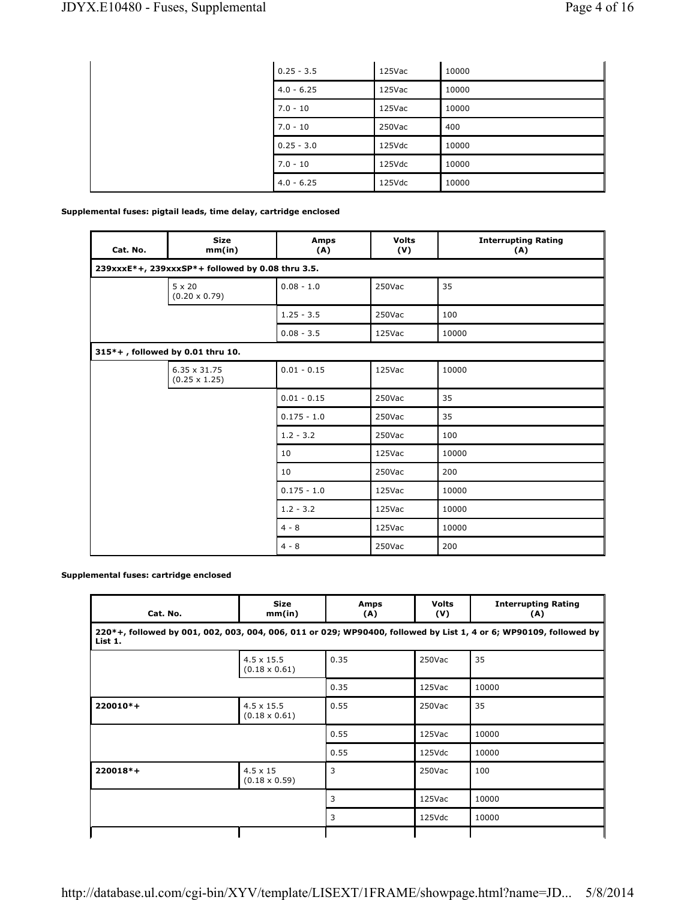| $0.25 - 3.5$ | 125Vac    | 10000 |
|--------------|-----------|-------|
| $4.0 - 6.25$ | 125Vac    | 10000 |
| $7.0 - 10$   | $125$ Vac | 10000 |
| $7.0 - 10$   | 250Vac    | 400   |
| $0.25 - 3.0$ | 125Vdc    | 10000 |
| $7.0 - 10$   | 125Vdc    | 10000 |
| $4.0 - 6.25$ | 125Vdc    | 10000 |

## **Supplemental fuses: pigtail leads, time delay, cartridge enclosed**

| Cat. No. | <b>Size</b><br>mm(in)                            | Amps<br>(A)   | <b>Volts</b><br>(V) | <b>Interrupting Rating</b><br>(A) |  |  |  |
|----------|--------------------------------------------------|---------------|---------------------|-----------------------------------|--|--|--|
|          | 239xxxE*+, 239xxxSP*+ followed by 0.08 thru 3.5. |               |                     |                                   |  |  |  |
|          | $5 \times 20$<br>$(0.20 \times 0.79)$            | $0.08 - 1.0$  | 250Vac              | 35                                |  |  |  |
|          |                                                  | $1.25 - 3.5$  | 250Vac              | 100                               |  |  |  |
|          |                                                  | $0.08 - 3.5$  | 125Vac              | 10000                             |  |  |  |
|          | 315*+, followed by 0.01 thru 10.                 |               |                     |                                   |  |  |  |
|          | 6.35 x 31.75<br>$(0.25 \times 1.25)$             | $0.01 - 0.15$ | 125Vac              | 10000                             |  |  |  |
|          |                                                  | $0.01 - 0.15$ | 250Vac              | 35                                |  |  |  |
|          |                                                  | $0.175 - 1.0$ | 250Vac              | 35                                |  |  |  |
|          |                                                  | $1.2 - 3.2$   | 250Vac              | 100                               |  |  |  |
|          |                                                  | 10            | 125Vac              | 10000                             |  |  |  |
|          |                                                  | 10            | 250Vac              | 200                               |  |  |  |
|          |                                                  | $0.175 - 1.0$ | 125Vac              | 10000                             |  |  |  |
|          |                                                  | $1.2 - 3.2$   | 125Vac              | 10000                             |  |  |  |
|          |                                                  | $4 - 8$       | 125Vac              | 10000                             |  |  |  |
|          |                                                  | $4 - 8$       | 250Vac              | 200                               |  |  |  |

### **Supplemental fuses: cartridge enclosed**

| Cat. No.                                                                                                                     | <b>Size</b><br>mm(in)                     | Amps<br>(A) | <b>Volts</b><br>(V) | <b>Interrupting Rating</b><br>(A) |
|------------------------------------------------------------------------------------------------------------------------------|-------------------------------------------|-------------|---------------------|-----------------------------------|
| 220*+, followed by 001, 002, 003, 004, 006, 011 or 029; WP90400, followed by List 1, 4 or 6; WP90109, followed by<br>List 1. |                                           |             |                     |                                   |
|                                                                                                                              | $4.5 \times 15.5$<br>$(0.18 \times 0.61)$ | 0.35        | 250Vac              | 35                                |
|                                                                                                                              |                                           | 0.35        | 125Vac              | 10000                             |
| $220010*+$                                                                                                                   | $4.5 \times 15.5$<br>$(0.18 \times 0.61)$ | 0.55        | 250Vac              | 35                                |
|                                                                                                                              |                                           | 0.55        | 125Vac              | 10000                             |
|                                                                                                                              |                                           | 0.55        | 125Vdc              | 10000                             |
| $220018*+$                                                                                                                   | $4.5 \times 15$<br>$(0.18 \times 0.59)$   | 3           | 250Vac              | 100                               |
|                                                                                                                              |                                           | 3           | 125Vac              | 10000                             |
|                                                                                                                              |                                           | 3           | 125Vdc              | 10000                             |
|                                                                                                                              |                                           |             |                     |                                   |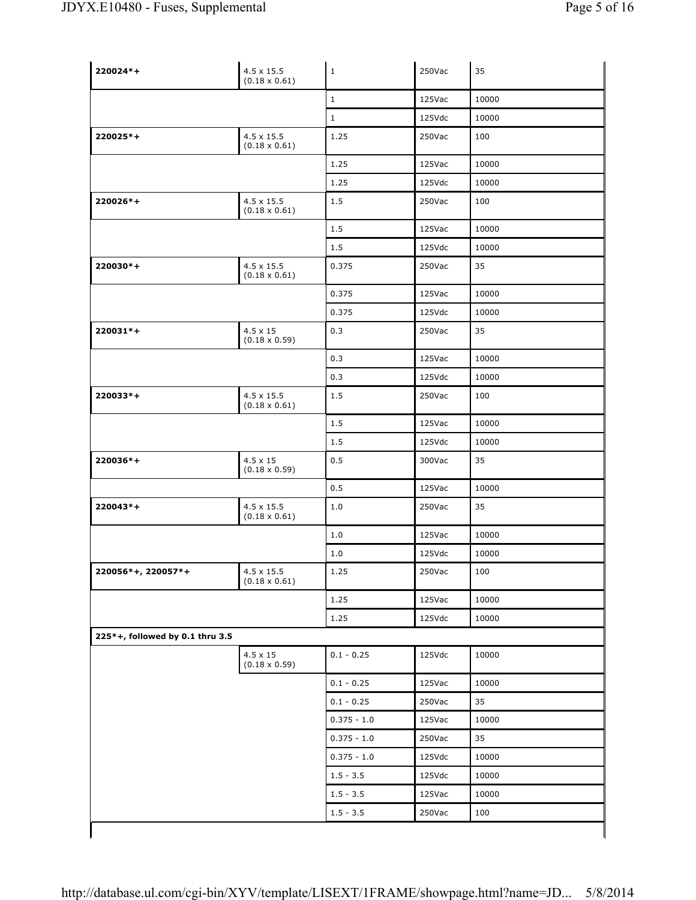| 220024*+                        | $4.5 \times 15.5$<br>$(0.18 \times 0.61)$ | $\mathbf 1$   | 250Vac | 35    |
|---------------------------------|-------------------------------------------|---------------|--------|-------|
|                                 |                                           | $\mathbf{1}$  | 125Vac | 10000 |
|                                 |                                           | $\mathbf{1}$  | 125Vdc | 10000 |
| 220025*+                        | $4.5 \times 15.5$<br>$(0.18 \times 0.61)$ | 1.25          | 250Vac | 100   |
|                                 |                                           | 1.25          | 125Vac | 10000 |
|                                 |                                           | 1.25          | 125Vdc | 10000 |
| 220026*+                        | $4.5 \times 15.5$<br>$(0.18 \times 0.61)$ | 1.5           | 250Vac | 100   |
|                                 |                                           | 1.5           | 125Vac | 10000 |
|                                 |                                           | 1.5           | 125Vdc | 10000 |
| 220030*+                        | $4.5 \times 15.5$<br>$(0.18 \times 0.61)$ | 0.375         | 250Vac | 35    |
|                                 |                                           | 0.375         | 125Vac | 10000 |
|                                 |                                           | 0.375         | 125Vdc | 10000 |
| $220031*+$                      | $4.5 \times 15$<br>$(0.18 \times 0.59)$   | 0.3           | 250Vac | 35    |
|                                 |                                           | 0.3           | 125Vac | 10000 |
|                                 |                                           | 0.3           | 125Vdc | 10000 |
| 220033*+                        | $4.5 \times 15.5$<br>$(0.18 \times 0.61)$ | 1.5           | 250Vac | 100   |
|                                 |                                           | 1.5           | 125Vac | 10000 |
|                                 |                                           | 1.5           | 125Vdc | 10000 |
| 220036*+                        | $4.5 \times 15$<br>$(0.18 \times 0.59)$   | 0.5           | 300Vac | 35    |
|                                 |                                           | 0.5           | 125Vac | 10000 |
| $220043*+$                      | $4.5 \times 15.5$<br>$(0.18 \times 0.61)$ | 1.0           | 250Vac | 35    |
|                                 |                                           | 1.0           | 125Vac | 10000 |
|                                 |                                           | 1.0           | 125Vdc | 10000 |
| 220056*+, 220057*+              | $4.5 \times 15.5$<br>$(0.18 \times 0.61)$ | 1.25          | 250Vac | 100   |
|                                 |                                           | 1.25          | 125Vac | 10000 |
|                                 |                                           | 1.25          | 125Vdc | 10000 |
| 225*+, followed by 0.1 thru 3.5 |                                           |               |        |       |
|                                 | $4.5 \times 15$<br>$(0.18 \times 0.59)$   | $0.1 - 0.25$  | 125Vdc | 10000 |
|                                 |                                           | $0.1 - 0.25$  | 125Vac | 10000 |
|                                 |                                           | $0.1 - 0.25$  | 250Vac | 35    |
|                                 |                                           | $0.375 - 1.0$ | 125Vac | 10000 |
|                                 |                                           | $0.375 - 1.0$ | 250Vac | 35    |
|                                 |                                           | $0.375 - 1.0$ | 125Vdc | 10000 |
|                                 |                                           | $1.5 - 3.5$   | 125Vdc | 10000 |
|                                 |                                           | $1.5 - 3.5$   | 125Vac | 10000 |
|                                 |                                           | $1.5 - 3.5$   | 250Vac | 100   |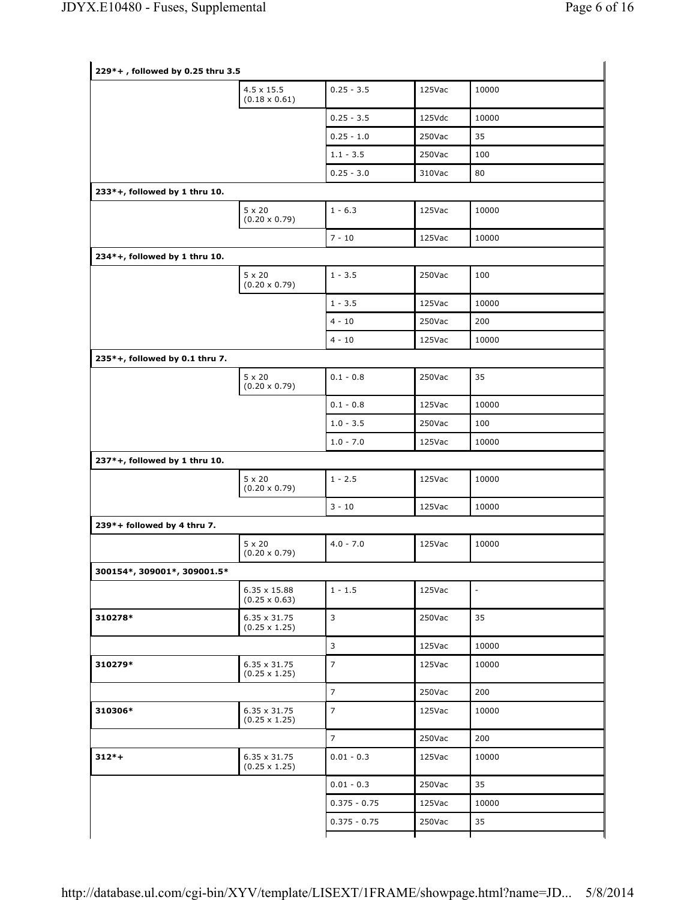|                                | $4.5 \times 15.5$<br>$(0.18 \times 0.61)$   | $0.25 - 3.5$   | 125Vac | 10000                    |
|--------------------------------|---------------------------------------------|----------------|--------|--------------------------|
|                                |                                             | $0.25 - 3.5$   | 125Vdc | 10000                    |
|                                |                                             | $0.25 - 1.0$   | 250Vac | 35                       |
|                                |                                             | $1.1 - 3.5$    | 250Vac | 100                      |
|                                |                                             | $0.25 - 3.0$   | 310Vac | 80                       |
| 233*+, followed by 1 thru 10.  |                                             |                |        |                          |
|                                | $5 \times 20$<br>$(0.20 \times 0.79)$       | $1 - 6.3$      | 125Vac | 10000                    |
|                                |                                             | $7 - 10$       | 125Vac | 10000                    |
| 234*+, followed by 1 thru 10.  |                                             |                |        |                          |
|                                | $5 \times 20$<br>$(0.20 \times 0.79)$       | $1 - 3.5$      | 250Vac | 100                      |
|                                |                                             | $1 - 3.5$      | 125Vac | 10000                    |
|                                |                                             | $4 - 10$       | 250Vac | 200                      |
|                                |                                             | $4 - 10$       | 125Vac | 10000                    |
| 235*+, followed by 0.1 thru 7. |                                             |                |        |                          |
|                                | $5 \times 20$<br>$(0.20 \times 0.79)$       | $0.1 - 0.8$    | 250Vac | 35                       |
|                                |                                             | $0.1 - 0.8$    | 125Vac | 10000                    |
|                                |                                             | $1.0 - 3.5$    | 250Vac | 100                      |
|                                |                                             | $1.0 - 7.0$    | 125Vac | 10000                    |
| 237*+, followed by 1 thru 10.  |                                             |                |        |                          |
|                                | $5 \times 20$<br>$(0.20 \times 0.79)$       | $1 - 2.5$      | 125Vac | 10000                    |
|                                |                                             | $3 - 10$       | 125Vac | 10000                    |
| 239*+ followed by 4 thru 7.    |                                             |                |        |                          |
|                                | $5 \times 20$<br>$(0.20 \times 0.79)$       | $4.0 - 7.0$    | 125Vac | 10000                    |
| 300154*, 309001*, 309001.5*    |                                             |                |        |                          |
|                                | $6.35 \times 15.88$<br>$(0.25 \times 0.63)$ | $1 - 1.5$      | 125Vac | $\overline{\phantom{a}}$ |
| 310278*                        | $6.35 \times 31.75$<br>$(0.25 \times 1.25)$ | 3              | 250Vac | 35                       |
|                                |                                             | 3              | 125Vac | 10000                    |
| 310279*                        | 6.35 x 31.75<br>$(0.25 \times 1.25)$        | $\overline{7}$ | 125Vac | 10000                    |
|                                |                                             | $\overline{7}$ | 250Vac | 200                      |
| 310306*                        | $6.35 \times 31.75$<br>$(0.25 \times 1.25)$ | $\overline{7}$ | 125Vac | 10000                    |
|                                |                                             | $\overline{7}$ | 250Vac | 200                      |
| $312*+$                        | $6.35 \times 31.75$<br>$(0.25 \times 1.25)$ | $0.01 - 0.3$   | 125Vac | 10000                    |
|                                |                                             | $0.01 - 0.3$   | 250Vac | 35                       |
|                                |                                             |                |        | 10000                    |
|                                |                                             | $0.375 - 0.75$ | 125Vac |                          |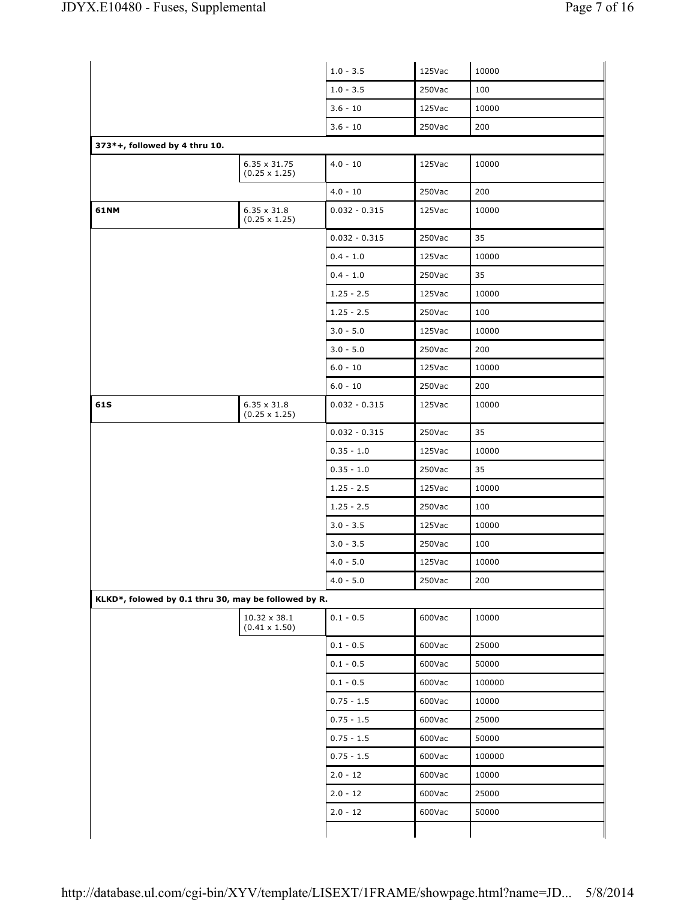|                               |                                                      | $1.0 - 3.5$     | 125Vac | 10000  |
|-------------------------------|------------------------------------------------------|-----------------|--------|--------|
|                               |                                                      | $1.0 - 3.5$     | 250Vac | 100    |
|                               |                                                      | $3.6 - 10$      | 125Vac | 10000  |
|                               |                                                      |                 |        |        |
|                               |                                                      | $3.6 - 10$      | 250Vac | 200    |
| 373*+, followed by 4 thru 10. |                                                      |                 |        |        |
|                               | $6.35 \times 31.75$<br>$(0.25 \times 1.25)$          | $4.0 - 10$      | 125Vac | 10000  |
|                               |                                                      | $4.0 - 10$      | 250Vac | 200    |
| 61NM                          | $6.35 \times 31.8$<br>$(0.25 \times 1.25)$           | $0.032 - 0.315$ | 125Vac | 10000  |
|                               |                                                      | $0.032 - 0.315$ | 250Vac | 35     |
|                               |                                                      | $0.4 - 1.0$     | 125Vac | 10000  |
|                               |                                                      | $0.4 - 1.0$     | 250Vac | 35     |
|                               |                                                      | $1.25 - 2.5$    | 125Vac | 10000  |
|                               |                                                      | $1.25 - 2.5$    | 250Vac | 100    |
|                               |                                                      | $3.0 - 5.0$     | 125Vac | 10000  |
|                               |                                                      | $3.0 - 5.0$     | 250Vac | 200    |
|                               |                                                      | $6.0 - 10$      | 125Vac | 10000  |
|                               |                                                      | $6.0 - 10$      | 250Vac | 200    |
| 61S                           | $6.35 \times 31.8$<br>$(0.25 \times 1.25)$           | $0.032 - 0.315$ | 125Vac | 10000  |
|                               |                                                      | $0.032 - 0.315$ | 250Vac | 35     |
|                               |                                                      | $0.35 - 1.0$    | 125Vac | 10000  |
|                               |                                                      | $0.35 - 1.0$    | 250Vac | 35     |
|                               |                                                      | $1.25 - 2.5$    | 125Vac | 10000  |
|                               |                                                      | $1.25 - 2.5$    | 250Vac | 100    |
|                               |                                                      | $3.0 - 3.5$     | 125Vac | 10000  |
|                               |                                                      | $3.0 - 3.5$     | 250Vac | 100    |
|                               |                                                      | $4.0 - 5.0$     | 125Vac | 10000  |
|                               |                                                      | $4.0 - 5.0$     | 250Vac | 200    |
|                               | KLKD*, folowed by 0.1 thru 30, may be followed by R. |                 |        |        |
|                               | $10.32\times38.1$<br>$(0.41 \times 1.50)$            | $0.1 - 0.5$     | 600Vac | 10000  |
|                               |                                                      | $0.1 - 0.5$     | 600Vac | 25000  |
|                               |                                                      | $0.1 - 0.5$     | 600Vac | 50000  |
|                               |                                                      | $0.1 - 0.5$     | 600Vac | 100000 |
|                               |                                                      | $0.75 - 1.5$    | 600Vac | 10000  |
|                               |                                                      | $0.75 - 1.5$    | 600Vac | 25000  |
|                               |                                                      | $0.75 - 1.5$    | 600Vac | 50000  |
|                               |                                                      | $0.75 - 1.5$    | 600Vac | 100000 |
|                               |                                                      | $2.0 - 12$      | 600Vac | 10000  |
|                               |                                                      |                 | 600Vac | 25000  |
|                               |                                                      | $2.0 - 12$      |        |        |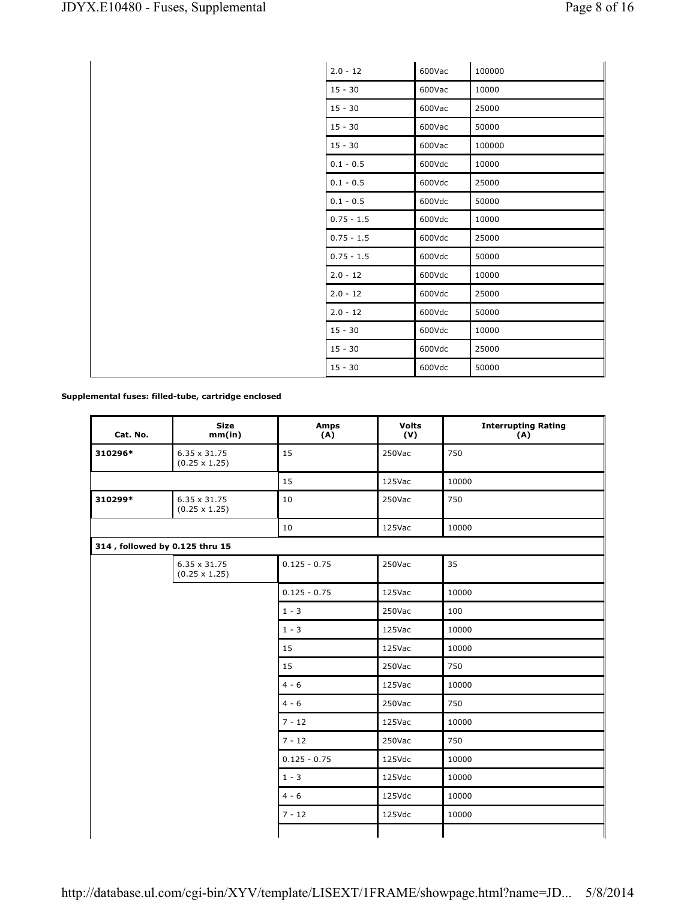| $2.0 - 12$   | 600Vac | 100000 |
|--------------|--------|--------|
| $15 - 30$    | 600Vac | 10000  |
| $15 - 30$    | 600Vac | 25000  |
| $15 - 30$    | 600Vac | 50000  |
| $15 - 30$    | 600Vac | 100000 |
| $0.1 - 0.5$  | 600Vdc | 10000  |
| $0.1 - 0.5$  | 600Vdc | 25000  |
| $0.1 - 0.5$  | 600Vdc | 50000  |
| $0.75 - 1.5$ | 600Vdc | 10000  |
| $0.75 - 1.5$ | 600Vdc | 25000  |
| $0.75 - 1.5$ | 600Vdc | 50000  |
| $2.0 - 12$   | 600Vdc | 10000  |
| $2.0 - 12$   | 600Vdc | 25000  |
| $2.0 - 12$   | 600Vdc | 50000  |
| $15 - 30$    | 600Vdc | 10000  |
| $15 - 30$    | 600Vdc | 25000  |
| $15 - 30$    | 600Vdc | 50000  |

#### **Supplemental fuses: filled-tube, cartridge enclosed**

| Cat. No.                       | <b>Size</b><br>mm(in)                       | Amps<br>(A)    | <b>Volts</b><br>(V) | <b>Interrupting Rating</b><br>(A) |
|--------------------------------|---------------------------------------------|----------------|---------------------|-----------------------------------|
| 310296*                        | $6.35 \times 31.75$<br>$(0.25 \times 1.25)$ | 15             | 250Vac              | 750                               |
|                                |                                             | 15             | 125Vac              | 10000                             |
| 310299*                        | $6.35 \times 31.75$<br>$(0.25 \times 1.25)$ | 10             | 250Vac              | 750                               |
|                                |                                             | 10             | 125Vac              | 10000                             |
| 314, followed by 0.125 thru 15 |                                             |                |                     |                                   |
|                                | $6.35 \times 31.75$<br>$(0.25 \times 1.25)$ | $0.125 - 0.75$ | 250Vac              | 35                                |
|                                |                                             | $0.125 - 0.75$ | 125Vac              | 10000                             |
|                                |                                             | $1 - 3$        | 250Vac              | 100                               |
|                                |                                             | $1 - 3$        | 125Vac              | 10000                             |
|                                |                                             | 15             | 125Vac              | 10000                             |
|                                |                                             | 15             | 250Vac              | 750                               |
|                                |                                             | $4 - 6$        | 125Vac              | 10000                             |
|                                |                                             | $4 - 6$        | 250Vac              | 750                               |
|                                |                                             | $7 - 12$       | 125Vac              | 10000                             |
|                                |                                             | $7 - 12$       | 250Vac              | 750                               |
|                                |                                             | $0.125 - 0.75$ | 125Vdc              | 10000                             |
|                                |                                             | $1 - 3$        | 125Vdc              | 10000                             |
|                                |                                             | $4 - 6$        | 125Vdc              | 10000                             |
|                                |                                             | $7 - 12$       | 125Vdc              | 10000                             |
|                                |                                             |                |                     |                                   |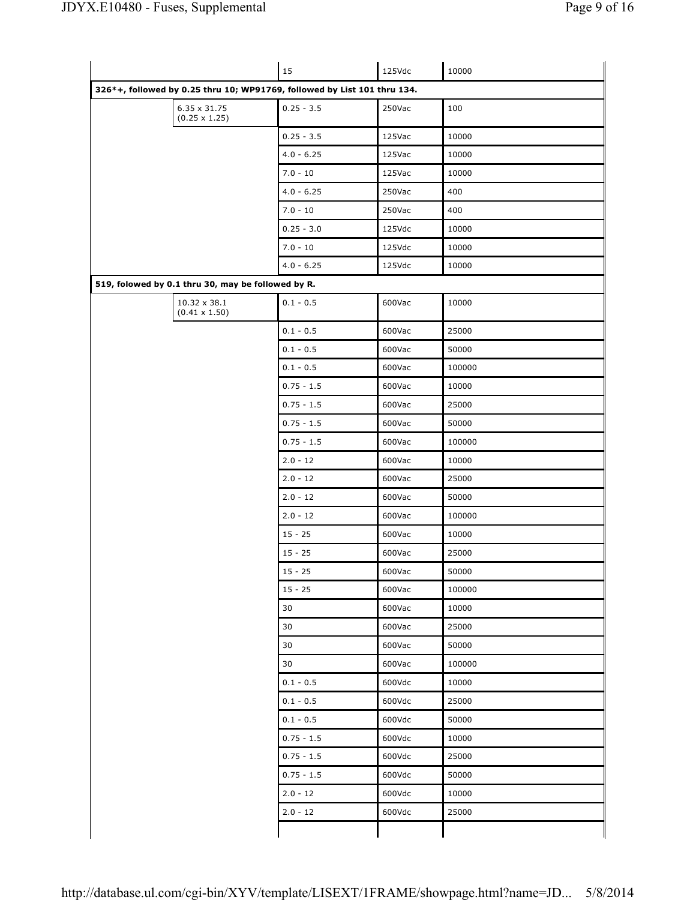|                                                                          | 15           | 125Vdc | 10000  |
|--------------------------------------------------------------------------|--------------|--------|--------|
| 326*+, followed by 0.25 thru 10; WP91769, followed by List 101 thru 134. |              |        |        |
| 6.35 x 31.75<br>$(0.25 \times 1.25)$                                     | $0.25 - 3.5$ | 250Vac | 100    |
|                                                                          | $0.25 - 3.5$ | 125Vac | 10000  |
|                                                                          | $4.0 - 6.25$ | 125Vac | 10000  |
|                                                                          | $7.0 - 10$   | 125Vac | 10000  |
|                                                                          | $4.0 - 6.25$ | 250Vac | 400    |
|                                                                          | $7.0 - 10$   | 250Vac | 400    |
|                                                                          | $0.25 - 3.0$ | 125Vdc | 10000  |
|                                                                          | $7.0 - 10$   | 125Vdc | 10000  |
|                                                                          | $4.0 - 6.25$ | 125Vdc | 10000  |
| 519, folowed by 0.1 thru 30, may be followed by R.                       |              |        |        |
| 10.32 x 38.1<br>$(0.41 \times 1.50)$                                     | $0.1 - 0.5$  | 600Vac | 10000  |
|                                                                          | $0.1 - 0.5$  | 600Vac | 25000  |
|                                                                          | $0.1 - 0.5$  | 600Vac | 50000  |
|                                                                          | $0.1 - 0.5$  | 600Vac | 100000 |
|                                                                          | $0.75 - 1.5$ | 600Vac | 10000  |
|                                                                          | $0.75 - 1.5$ | 600Vac | 25000  |
|                                                                          | $0.75 - 1.5$ | 600Vac | 50000  |
|                                                                          | $0.75 - 1.5$ | 600Vac | 100000 |
|                                                                          | $2.0 - 12$   | 600Vac | 10000  |
|                                                                          | $2.0 - 12$   | 600Vac | 25000  |
|                                                                          | $2.0 - 12$   | 600Vac | 50000  |
|                                                                          | $2.0 - 12$   | 600Vac | 100000 |
|                                                                          | $15 - 25$    | 600Vac | 10000  |
|                                                                          | $15 - 25$    | 600Vac | 25000  |
|                                                                          | 15 - 25      | 600Vac | 50000  |
|                                                                          | $15 - 25$    | 600Vac | 100000 |
|                                                                          | 30           | 600Vac | 10000  |
|                                                                          | 30           | 600Vac | 25000  |
|                                                                          | 30           | 600Vac | 50000  |
|                                                                          | 30           | 600Vac | 100000 |
|                                                                          | $0.1 - 0.5$  | 600Vdc | 10000  |
|                                                                          | $0.1 - 0.5$  | 600Vdc | 25000  |
|                                                                          | $0.1 - 0.5$  | 600Vdc | 50000  |
|                                                                          | $0.75 - 1.5$ | 600Vdc | 10000  |
|                                                                          | $0.75 - 1.5$ | 600Vdc | 25000  |
|                                                                          | $0.75 - 1.5$ | 600Vdc | 50000  |
|                                                                          | $2.0 - 12$   | 600Vdc | 10000  |
|                                                                          | $2.0 - 12$   | 600Vdc | 25000  |
|                                                                          |              |        |        |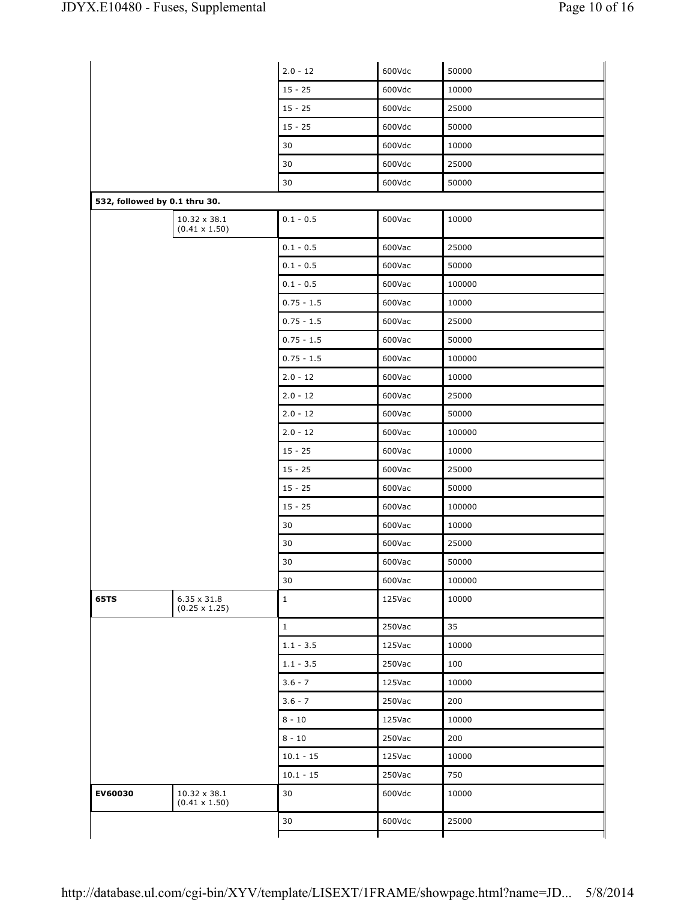|                               |                                           | $2.0 - 12$   | 600Vdc | 50000  |
|-------------------------------|-------------------------------------------|--------------|--------|--------|
|                               |                                           | $15 - 25$    | 600Vdc | 10000  |
|                               |                                           | $15 - 25$    | 600Vdc | 25000  |
|                               |                                           | $15 - 25$    | 600Vdc | 50000  |
|                               |                                           | 30           | 600Vdc | 10000  |
|                               |                                           | 30           | 600Vdc | 25000  |
|                               |                                           | 30           | 600Vdc | 50000  |
| 532, followed by 0.1 thru 30. |                                           |              |        |        |
|                               | 10.32 x 38.1<br>$(0.41 \times 1.50)$      | $0.1 - 0.5$  | 600Vac | 10000  |
|                               |                                           | $0.1 - 0.5$  | 600Vac | 25000  |
|                               |                                           | $0.1 - 0.5$  | 600Vac | 50000  |
|                               |                                           | $0.1 - 0.5$  | 600Vac | 100000 |
|                               |                                           | $0.75 - 1.5$ | 600Vac | 10000  |
|                               |                                           | $0.75 - 1.5$ | 600Vac | 25000  |
|                               |                                           | $0.75 - 1.5$ | 600Vac | 50000  |
|                               |                                           | $0.75 - 1.5$ | 600Vac | 100000 |
|                               |                                           | $2.0 - 12$   | 600Vac | 10000  |
|                               |                                           | $2.0 - 12$   | 600Vac | 25000  |
|                               |                                           | $2.0 - 12$   | 600Vac | 50000  |
|                               |                                           | $2.0 - 12$   | 600Vac | 100000 |
|                               |                                           | $15 - 25$    | 600Vac | 10000  |
|                               |                                           | $15 - 25$    | 600Vac | 25000  |
|                               |                                           | $15 - 25$    | 600Vac | 50000  |
|                               |                                           | $15 - 25$    | 600Vac | 100000 |
|                               |                                           | 30           | 600Vac | 10000  |
|                               |                                           | 30           | 600Vac | 25000  |
|                               |                                           | 30           | 600Vac | 50000  |
|                               |                                           | 30           | 600Vac | 100000 |
| <b>65TS</b>                   | $6.35\times31.8$<br>$(0.25 \times 1.25)$  | $\mathbf 1$  | 125Vac | 10000  |
|                               |                                           | $\mathbf{1}$ | 250Vac | 35     |
|                               |                                           | $1.1 - 3.5$  | 125Vac | 10000  |
|                               |                                           | $1.1 - 3.5$  | 250Vac | 100    |
|                               |                                           | $3.6 - 7$    | 125Vac | 10000  |
|                               |                                           | $3.6 - 7$    | 250Vac | 200    |
|                               |                                           | $8 - 10$     | 125Vac | 10000  |
|                               |                                           | $8 - 10$     | 250Vac | 200    |
|                               |                                           | $10.1 - 15$  | 125Vac | 10000  |
|                               |                                           |              |        |        |
|                               |                                           | $10.1 - 15$  | 250Vac | 750    |
| EV60030                       | $10.32\times38.1$<br>$(0.41 \times 1.50)$ | 30           | 600Vdc | 10000  |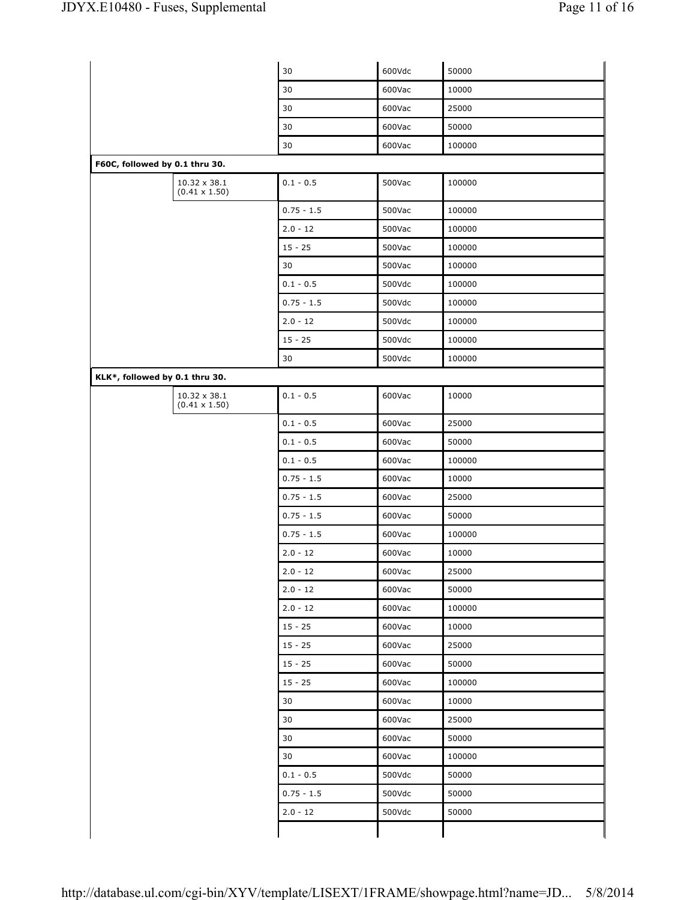|                                      | 30           | 600Vdc | 50000  |
|--------------------------------------|--------------|--------|--------|
|                                      | 30           | 600Vac | 10000  |
|                                      | 30           | 600Vac | 25000  |
|                                      | 30           | 600Vac | 50000  |
|                                      | 30           | 600Vac | 100000 |
| F60C, followed by 0.1 thru 30.       |              |        |        |
| 10.32 x 38.1<br>$(0.41 \times 1.50)$ | $0.1 - 0.5$  | 500Vac | 100000 |
|                                      | $0.75 - 1.5$ | 500Vac | 100000 |
|                                      | $2.0 - 12$   | 500Vac | 100000 |
|                                      | $15 - 25$    | 500Vac | 100000 |
|                                      | 30           | 500Vac | 100000 |
|                                      | $0.1 - 0.5$  | 500Vdc | 100000 |
|                                      | $0.75 - 1.5$ | 500Vdc | 100000 |
|                                      | $2.0 - 12$   | 500Vdc | 100000 |
|                                      | $15 - 25$    | 500Vdc | 100000 |
|                                      | 30           | 500Vdc | 100000 |
| KLK*, followed by 0.1 thru 30.       |              |        |        |
| 10.32 x 38.1<br>$(0.41 \times 1.50)$ | $0.1 - 0.5$  | 600Vac | 10000  |
|                                      | $0.1 - 0.5$  | 600Vac | 25000  |
|                                      | $0.1 - 0.5$  | 600Vac | 50000  |
|                                      | $0.1 - 0.5$  | 600Vac | 100000 |
|                                      | $0.75 - 1.5$ | 600Vac | 10000  |
|                                      | $0.75 - 1.5$ | 600Vac | 25000  |
|                                      | $0.75 - 1.5$ | 600Vac | 50000  |
|                                      | $0.75 - 1.5$ | 600Vac | 100000 |
|                                      | $2.0 - 12$   | 600Vac | 10000  |
|                                      | $2.0 - 12$   | 600Vac | 25000  |
|                                      | $2.0 - 12$   | 600Vac | 50000  |
|                                      | $2.0 - 12$   | 600Vac | 100000 |
|                                      | $15 - 25$    | 600Vac | 10000  |
|                                      | $15 - 25$    | 600Vac | 25000  |
|                                      | $15 - 25$    | 600Vac | 50000  |
|                                      | $15 - 25$    | 600Vac | 100000 |
|                                      | 30           | 600Vac | 10000  |
|                                      | 30           | 600Vac | 25000  |
|                                      | 30           | 600Vac | 50000  |
|                                      | 30           | 600Vac | 100000 |
|                                      | $0.1 - 0.5$  | 500Vdc | 50000  |
|                                      | $0.75 - 1.5$ | 500Vdc | 50000  |
|                                      |              |        |        |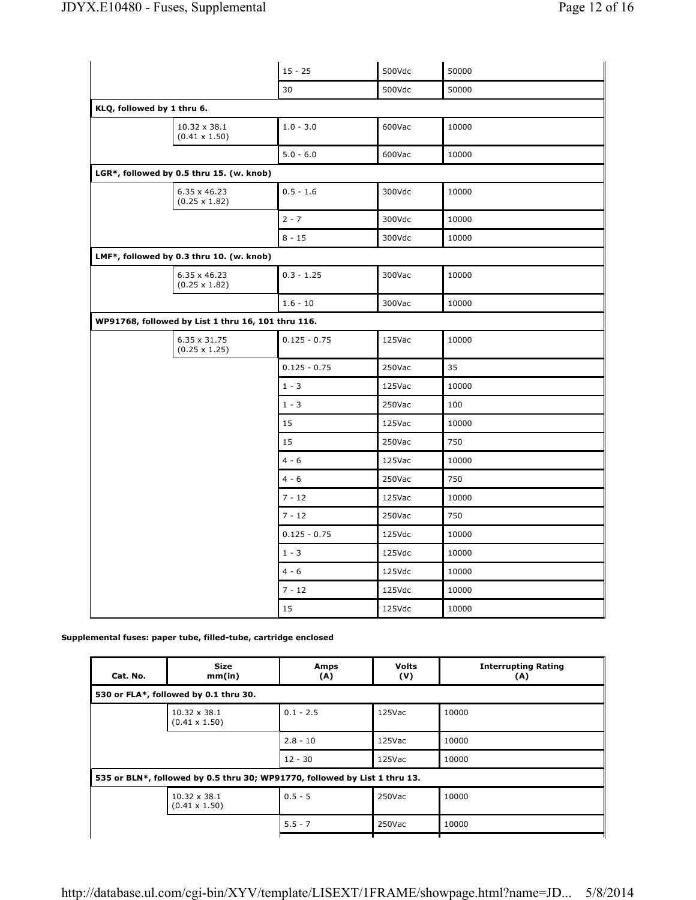|                            |                                                    | $15 - 25$      | 500Vdc | 50000 |
|----------------------------|----------------------------------------------------|----------------|--------|-------|
|                            |                                                    | 30             | 500Vdc | 50000 |
| KLQ, followed by 1 thru 6. |                                                    |                |        |       |
|                            | $10.32 \times 38.1$<br>$(0.41 \times 1.50)$        | $1.0 - 3.0$    | 600Vac | 10000 |
|                            |                                                    | $5.0 - 6.0$    | 600Vac | 10000 |
|                            | LGR*, followed by 0.5 thru 15. (w. knob)           |                |        |       |
|                            | 6.35 x 46.23<br>$(0.25 \times 1.82)$               | $0.5 - 1.6$    | 300Vdc | 10000 |
|                            |                                                    | $2 - 7$        | 300Vdc | 10000 |
|                            |                                                    | $8 - 15$       | 300Vdc | 10000 |
|                            | LMF*, followed by 0.3 thru 10. (w. knob)           |                |        |       |
|                            | 6.35 x 46.23<br>$(0.25 \times 1.82)$               | $0.3 - 1.25$   | 300Vac | 10000 |
|                            |                                                    | $1.6 - 10$     | 300Vac | 10000 |
|                            | WP91768, followed by List 1 thru 16, 101 thru 116. |                |        |       |
|                            | 6.35 x 31.75<br>$(0.25 \times 1.25)$               | $0.125 - 0.75$ | 125Vac | 10000 |
|                            |                                                    | $0.125 - 0.75$ | 250Vac | 35    |
|                            |                                                    | $1 - 3$        | 125Vac | 10000 |
|                            |                                                    | $1 - 3$        | 250Vac | 100   |
|                            |                                                    | 15             | 125Vac | 10000 |
|                            |                                                    | 15             | 250Vac | 750   |
|                            |                                                    | $4 - 6$        | 125Vac | 10000 |
|                            |                                                    | $4 - 6$        | 250Vac | 750   |
|                            |                                                    | $7 - 12$       | 125Vac | 10000 |
|                            |                                                    | $7 - 12$       | 250Vac | 750   |
|                            |                                                    | $0.125 - 0.75$ | 125Vdc | 10000 |
|                            |                                                    | $1 - 3$        | 125Vdc | 10000 |
|                            |                                                    | $4 - 6$        | 125Vdc | 10000 |
|                            |                                                    | $7 - 12$       | 125Vdc | 10000 |
|                            |                                                    | 15             | 125Vdc | 10000 |

**Supplemental fuses: paper tube, filled-tube, cartridge enclosed**

| <b>Size</b><br>mm(in)                       | Amps<br>(A) | <b>Volts</b><br>(V) | <b>Interrupting Rating</b><br>(A)                                          |  |  |
|---------------------------------------------|-------------|---------------------|----------------------------------------------------------------------------|--|--|
| 530 or FLA*, followed by 0.1 thru 30.       |             |                     |                                                                            |  |  |
| $10.32 \times 38.1$<br>$(0.41 \times 1.50)$ | $0.1 - 2.5$ | 125Vac              | 10000                                                                      |  |  |
|                                             | $2.8 - 10$  | $125$ Vac           | 10000                                                                      |  |  |
|                                             | $12 - 30$   | 125Vac              | 10000                                                                      |  |  |
|                                             |             |                     |                                                                            |  |  |
| $10.32 \times 38.1$<br>$(0.41 \times 1.50)$ | $0.5 - 5$   | 250Vac              | 10000                                                                      |  |  |
|                                             | $5.5 - 7$   | 250Vac              | 10000                                                                      |  |  |
|                                             |             |                     | 535 or BLN*, followed by 0.5 thru 30; WP91770, followed by List 1 thru 13. |  |  |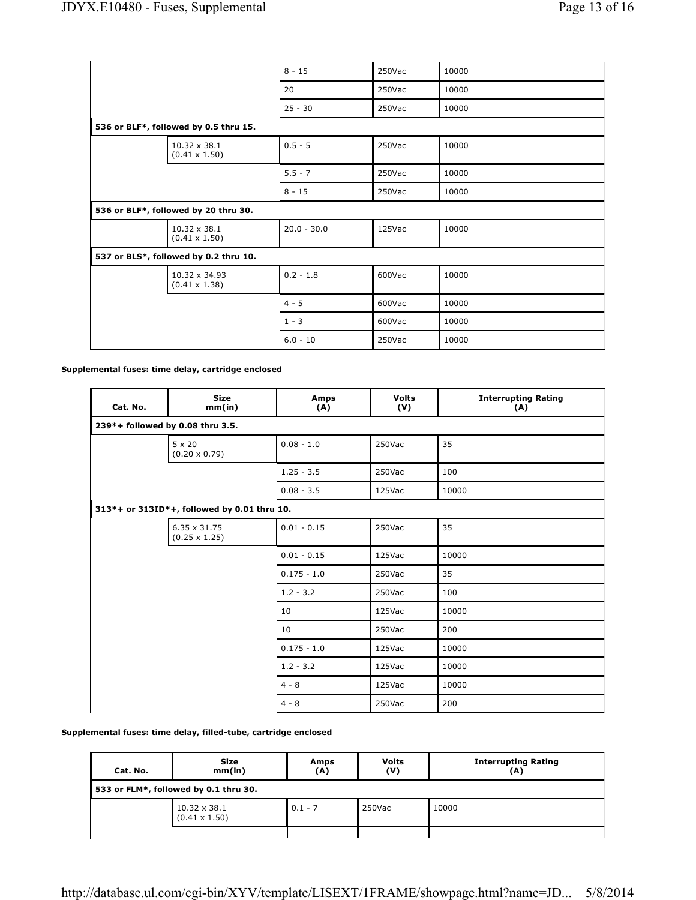|                                       |                                       | $8 - 15$      | 250Vac | 10000 |
|---------------------------------------|---------------------------------------|---------------|--------|-------|
|                                       |                                       | 20            | 250Vac | 10000 |
|                                       |                                       | $25 - 30$     | 250Vac | 10000 |
| 536 or BLF*, followed by 0.5 thru 15. |                                       |               |        |       |
|                                       | 10.32 x 38.1<br>$(0.41 \times 1.50)$  | $0.5 - 5$     | 250Vac | 10000 |
|                                       |                                       | $5.5 - 7$     | 250Vac | 10000 |
|                                       |                                       | $8 - 15$      | 250Vac | 10000 |
|                                       | 536 or BLF*, followed by 20 thru 30.  |               |        |       |
|                                       | 10.32 x 38.1<br>$(0.41 \times 1.50)$  | $20.0 - 30.0$ | 125Vac | 10000 |
|                                       | 537 or BLS*, followed by 0.2 thru 10. |               |        |       |
|                                       | 10.32 x 34.93<br>$(0.41 \times 1.38)$ | $0.2 - 1.8$   | 600Vac | 10000 |
|                                       |                                       | $4 - 5$       | 600Vac | 10000 |
|                                       |                                       | $1 - 3$       | 600Vac | 10000 |
|                                       |                                       | $6.0 - 10$    | 250Vac | 10000 |

**Supplemental fuses: time delay, cartridge enclosed**

| Cat. No. | <b>Size</b><br>mm(in)                       | <b>Amps</b><br>(A) | <b>Volts</b><br>(V) | <b>Interrupting Rating</b><br>(A) |
|----------|---------------------------------------------|--------------------|---------------------|-----------------------------------|
|          | 239*+ followed by 0.08 thru 3.5.            |                    |                     |                                   |
|          | $5 \times 20$<br>$(0.20 \times 0.79)$       | $0.08 - 1.0$       | 250Vac              | 35                                |
|          |                                             | $1.25 - 3.5$       | 250Vac              | 100                               |
|          |                                             | $0.08 - 3.5$       | 125Vac              | 10000                             |
|          | 313*+ or 313ID*+, followed by 0.01 thru 10. |                    |                     |                                   |
|          | 6.35 x 31.75<br>$(0.25 \times 1.25)$        | $0.01 - 0.15$      | 250Vac              | 35                                |
|          |                                             | $0.01 - 0.15$      | 125Vac              | 10000                             |
|          |                                             | $0.175 - 1.0$      | 250Vac              | 35                                |
|          |                                             | $1.2 - 3.2$        | 250Vac              | 100                               |
|          |                                             | 10                 | 125Vac              | 10000                             |
|          |                                             | 10                 | 250Vac              | 200                               |
|          |                                             | $0.175 - 1.0$      | 125Vac              | 10000                             |
|          |                                             | $1.2 - 3.2$        | 125Vac              | 10000                             |
|          |                                             | $4 - 8$            | 125Vac              | 10000                             |
|          |                                             | $4 - 8$            | 250Vac              | 200                               |

**Supplemental fuses: time delay, filled-tube, cartridge enclosed**

| Cat. No.                              | Size<br>mm(in)                              | Amps<br>(A) | <b>Volts</b><br>(V) | <b>Interrupting Rating</b><br>(A) |  |
|---------------------------------------|---------------------------------------------|-------------|---------------------|-----------------------------------|--|
| 533 or FLM*, followed by 0.1 thru 30. |                                             |             |                     |                                   |  |
|                                       | $10.32 \times 38.1$<br>$(0.41 \times 1.50)$ | $0.1 - 7$   | 250Vac              | 10000                             |  |
|                                       |                                             |             |                     |                                   |  |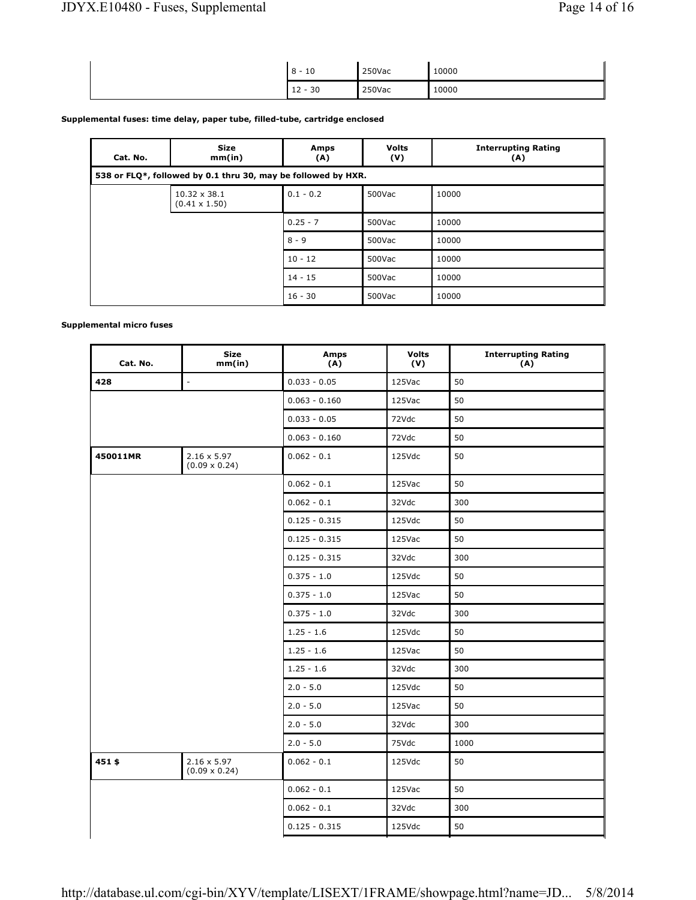| 10<br>ິ<br>-<br>~<br>ັ      | 250Vac | 10000<br>$ -$ |
|-----------------------------|--------|---------------|
| 30<br>$\sqrt{2}$<br><b></b> | 250Vac | 10000         |

### **Supplemental fuses: time delay, paper tube, filled-tube, cartridge enclosed**

| Cat. No. | <b>Size</b><br>mm(in)                                         | Amps<br>(A) | <b>Volts</b><br>(V) | <b>Interrupting Rating</b><br>(A) |  |  |  |
|----------|---------------------------------------------------------------|-------------|---------------------|-----------------------------------|--|--|--|
|          | 538 or FLQ*, followed by 0.1 thru 30, may be followed by HXR. |             |                     |                                   |  |  |  |
|          | $10.32 \times 38.1$<br>$(0.41 \times 1.50)$                   | $0.1 - 0.2$ | 500Vac              | 10000                             |  |  |  |
|          |                                                               | $0.25 - 7$  | 500Vac              | 10000                             |  |  |  |
|          |                                                               | $8 - 9$     | 500Vac              | 10000                             |  |  |  |
|          |                                                               | $10 - 12$   | 500Vac              | 10000                             |  |  |  |
|          |                                                               | $14 - 15$   | 500Vac              | 10000                             |  |  |  |
|          |                                                               | $16 - 30$   | 500Vac              | 10000                             |  |  |  |

## **Supplemental micro fuses**

| <b>Size</b><br>mm(in)                      | <b>Amps</b><br>(A) | <b>Volts</b><br>(V) | <b>Interrupting Rating</b><br>(A) |
|--------------------------------------------|--------------------|---------------------|-----------------------------------|
| $\Box$                                     | $0.033 - 0.05$     | 125Vac              | 50                                |
|                                            | $0.063 - 0.160$    | 125Vac              | 50                                |
|                                            | $0.033 - 0.05$     | 72Vdc               | 50                                |
|                                            | $0.063 - 0.160$    | 72Vdc               | 50                                |
| $2.16 \times 5.97$<br>$(0.09 \times 0.24)$ | $0.062 - 0.1$      | 125Vdc              | 50                                |
|                                            | $0.062 - 0.1$      | 125Vac              | 50                                |
|                                            | $0.062 - 0.1$      | 32Vdc               | 300                               |
|                                            | $0.125 - 0.315$    | 125Vdc              | 50                                |
|                                            | $0.125 - 0.315$    | 125Vac              | 50                                |
|                                            | $0.125 - 0.315$    | 32Vdc               | 300                               |
|                                            | $0.375 - 1.0$      | 125Vdc              | 50                                |
|                                            | $0.375 - 1.0$      | 125Vac              | 50                                |
|                                            | $0.375 - 1.0$      | 32Vdc               | 300                               |
|                                            | $1.25 - 1.6$       | 125Vdc              | 50                                |
|                                            | $1.25 - 1.6$       | 125Vac              | 50                                |
|                                            | $1.25 - 1.6$       | 32Vdc               | 300                               |
|                                            | $2.0 - 5.0$        | 125Vdc              | 50                                |
|                                            | $2.0 - 5.0$        | 125Vac              | 50                                |
|                                            | $2.0 - 5.0$        | 32Vdc               | 300                               |
|                                            | $2.0 - 5.0$        | 75Vdc               | 1000                              |
| $2.16 \times 5.97$<br>$(0.09 \times 0.24)$ | $0.062 - 0.1$      | 125Vdc              | 50                                |
|                                            | $0.062 - 0.1$      | 125Vac              | 50                                |
|                                            | $0.062 - 0.1$      | 32Vdc               | 300                               |
|                                            | $0.125 - 0.315$    | 125Vdc              | 50                                |
|                                            |                    |                     |                                   |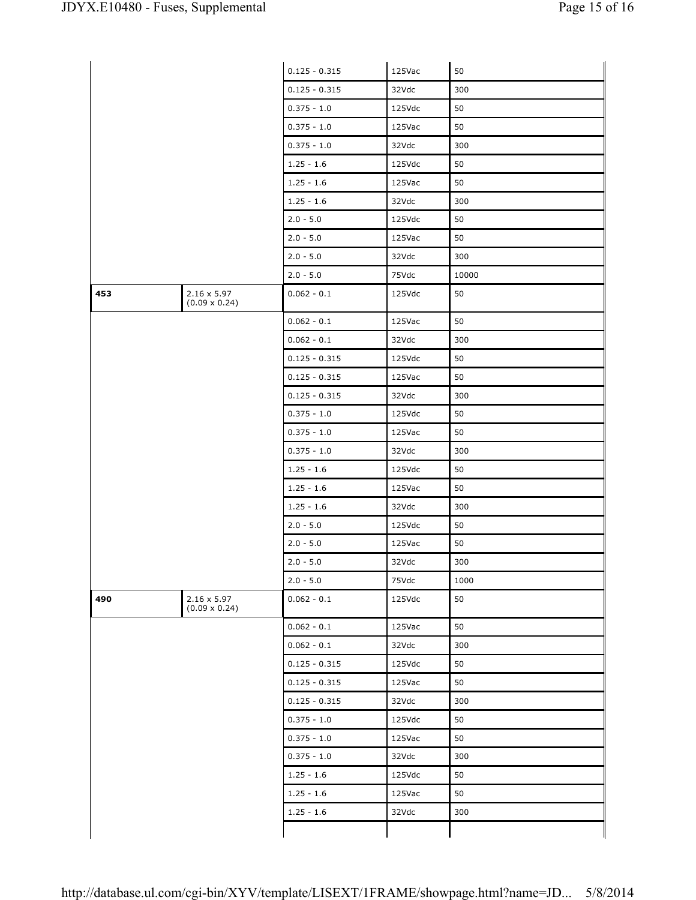|     |                                            | $0.125 - 0.315$ | 125Vac | 50    |
|-----|--------------------------------------------|-----------------|--------|-------|
|     |                                            | $0.125 - 0.315$ | 32Vdc  | 300   |
|     |                                            | $0.375 - 1.0$   | 125Vdc | 50    |
|     |                                            | $0.375 - 1.0$   | 125Vac | 50    |
|     |                                            | $0.375 - 1.0$   | 32Vdc  | 300   |
|     |                                            | $1.25 - 1.6$    | 125Vdc | 50    |
|     |                                            | $1.25 - 1.6$    | 125Vac | 50    |
|     |                                            | $1.25 - 1.6$    | 32Vdc  | 300   |
|     |                                            | $2.0 - 5.0$     | 125Vdc | 50    |
|     |                                            | $2.0 - 5.0$     | 125Vac | 50    |
|     |                                            | $2.0 - 5.0$     | 32Vdc  | 300   |
|     |                                            | $2.0 - 5.0$     | 75Vdc  | 10000 |
| 453 | $2.16 \times 5.97$<br>$(0.09 \times 0.24)$ | $0.062 - 0.1$   | 125Vdc | 50    |
|     |                                            | $0.062 - 0.1$   | 125Vac | 50    |
|     |                                            | $0.062 - 0.1$   | 32Vdc  | 300   |
|     |                                            | $0.125 - 0.315$ | 125Vdc | 50    |
|     |                                            | $0.125 - 0.315$ | 125Vac | 50    |
|     |                                            | $0.125 - 0.315$ | 32Vdc  | 300   |
|     |                                            | $0.375 - 1.0$   | 125Vdc | 50    |
|     |                                            | $0.375 - 1.0$   | 125Vac | 50    |
|     |                                            | $0.375 - 1.0$   | 32Vdc  | 300   |
|     |                                            | $1.25 - 1.6$    | 125Vdc | 50    |
|     |                                            | $1.25 - 1.6$    | 125Vac | 50    |
|     |                                            | $1.25 - 1.6$    | 32Vdc  | 300   |
|     |                                            | $2.0 - 5.0$     | 125Vdc | 50    |
|     |                                            | $2.0 - 5.0$     | 125Vac | 50    |
|     |                                            | $2.0 - 5.0$     | 32Vdc  | 300   |
|     |                                            | $2.0 - 5.0$     | 75Vdc  | 1000  |
| 490 | $2.16 \times 5.97$<br>$(0.09 \times 0.24)$ | $0.062 - 0.1$   | 125Vdc | 50    |
|     |                                            | $0.062 - 0.1$   | 125Vac | 50    |
|     |                                            | $0.062 - 0.1$   | 32Vdc  | 300   |
|     |                                            | $0.125 - 0.315$ | 125Vdc | 50    |
|     |                                            | $0.125 - 0.315$ | 125Vac | 50    |
|     |                                            | $0.125 - 0.315$ | 32Vdc  | 300   |
|     |                                            | $0.375 - 1.0$   | 125Vdc | 50    |
|     |                                            | $0.375 - 1.0$   | 125Vac | 50    |
|     |                                            | $0.375 - 1.0$   | 32Vdc  | 300   |
|     |                                            | $1.25 - 1.6$    | 125Vdc | 50    |
|     |                                            | $1.25 - 1.6$    | 125Vac | 50    |
|     |                                            | $1.25 - 1.6$    | 32Vdc  | 300   |
|     |                                            |                 |        |       |